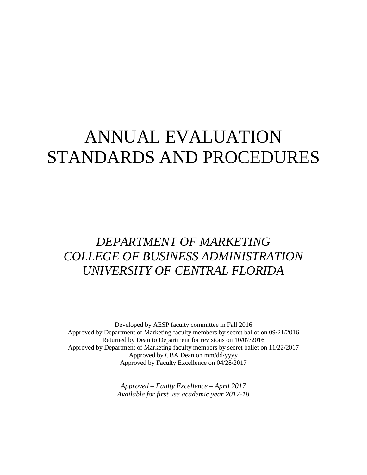# ANNUAL EVALUATION STANDARDS AND PROCEDURES

## *DEPARTMENT OF MARKETING COLLEGE OF BUSINESS ADMINISTRATION UNIVERSITY OF CENTRAL FLORIDA*

Developed by AESP faculty committee in Fall 2016 Approved by Department of Marketing faculty members by secret ballot on 09/21/2016 Returned by Dean to Department for revisions on 10/07/2016 Approved by Department of Marketing faculty members by secret ballet on 11/22/2017 Approved by CBA Dean on mm/dd/yyyy Approved by Faculty Excellence on 04/28/2017

> *Approved – Faulty Excellence – April 2017 Available for first use academic year 2017-18*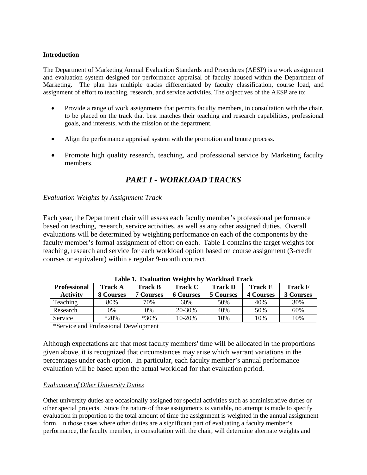## **Introduction**

The Department of Marketing Annual Evaluation Standards and Procedures (AESP) is a work assignment and evaluation system designed for performance appraisal of faculty housed within the Department of Marketing. The plan has multiple tracks differentiated by faculty classification, course load, and assignment of effort to teaching, research, and service activities. The objectives of the AESP are to:

- Provide a range of work assignments that permits faculty members, in consultation with the chair, to be placed on the track that best matches their teaching and research capabilities, professional goals, and interests, with the mission of the department.
- Align the performance appraisal system with the promotion and tenure process.
- Promote high quality research, teaching, and professional service by Marketing faculty members.

## *PART I - WORKLOAD TRACKS*

## *Evaluation Weights by Assignment Track*

Each year, the Department chair will assess each faculty member's professional performance based on teaching, research, service activities, as well as any other assigned duties. Overall evaluations will be determined by weighting performance on each of the components by the faculty member's formal assignment of effort on each. Table 1 contains the target weights for teaching, research and service for each workload option based on course assignment (3-credit courses or equivalent) within a regular 9-month contract.

| <b>Table 1. Evaluation Weights by Workload Track</b> |                                                                                                          |                  |                  |                  |                  |                  |  |  |
|------------------------------------------------------|----------------------------------------------------------------------------------------------------------|------------------|------------------|------------------|------------------|------------------|--|--|
| <b>Professional</b>                                  | <b>Track F</b><br><b>Track C</b><br><b>Track D</b><br><b>Track A</b><br><b>Track B</b><br><b>Track E</b> |                  |                  |                  |                  |                  |  |  |
| <b>Activity</b>                                      | <b>8 Courses</b>                                                                                         | <b>7 Courses</b> | <b>6 Courses</b> | <b>5 Courses</b> | <b>4 Courses</b> | <b>3 Courses</b> |  |  |
| Teaching                                             | 80%                                                                                                      | 70%              | 60%              | 50%              | 40%              | 30%              |  |  |
| Research                                             | 0%                                                                                                       | $0\%$            | 20-30%           | 40%              | 50%              | 60%              |  |  |
| Service                                              | $*20%$                                                                                                   | $*30\%$          | 10-20%           | 10%              | 10%              | 10%              |  |  |
| *Service and Professional Development                |                                                                                                          |                  |                  |                  |                  |                  |  |  |

Although expectations are that most faculty members' time will be allocated in the proportions given above, it is recognized that circumstances may arise which warrant variations in the percentages under each option. In particular, each faculty member's annual performance evaluation will be based upon the actual workload for that evaluation period.

## *Evaluation of Other University Duties*

Other university duties are occasionally assigned for special activities such as administrative duties or other special projects. Since the nature of these assignments is variable, no attempt is made to specify evaluation in proportion to the total amount of time the assignment is weighted in the annual assignment form. In those cases where other duties are a significant part of evaluating a faculty member's performance, the faculty member, in consultation with the chair, will determine alternate weights and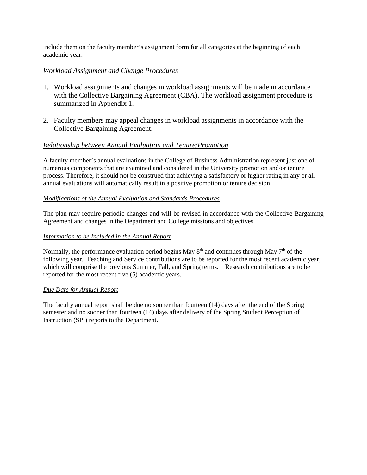include them on the faculty member's assignment form for all categories at the beginning of each academic year.

## *Workload Assignment and Change Procedures*

- 1. Workload assignments and changes in workload assignments will be made in accordance with the Collective Bargaining Agreement (CBA). The workload assignment procedure is summarized in Appendix 1.
- 2. Faculty members may appeal changes in workload assignments in accordance with the Collective Bargaining Agreement.

## *Relationship between Annual Evaluation and Tenure/Promotion*

A faculty member's annual evaluations in the College of Business Administration represent just one of numerous components that are examined and considered in the University promotion and/or tenure process. Therefore, it should not be construed that achieving a satisfactory or higher rating in any or all annual evaluations will automatically result in a positive promotion or tenure decision.

#### *Modifications of the Annual Evaluation and Standards Procedures*

The plan may require periodic changes and will be revised in accordance with the Collective Bargaining Agreement and changes in the Department and College missions and objectives.

## *Information to be Included in the Annual Report*

Normally, the performance evaluation period begins May  $8<sup>th</sup>$  and continues through May  $7<sup>th</sup>$  of the following year. Teaching and Service contributions are to be reported for the most recent academic year, which will comprise the previous Summer, Fall, and Spring terms. Research contributions are to be reported for the most recent five (5) academic years.

#### *Due Date for Annual Report*

The faculty annual report shall be due no sooner than fourteen (14) days after the end of the Spring semester and no sooner than fourteen (14) days after delivery of the Spring Student Perception of Instruction (SPI) reports to the Department.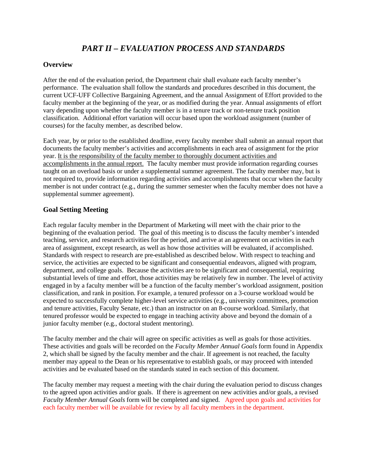## *PART II – EVALUATION PROCESS AND STANDARDS*

## **Overview**

After the end of the evaluation period, the Department chair shall evaluate each faculty member's performance. The evaluation shall follow the standards and procedures described in this document, the current UCF-UFF Collective Bargaining Agreement, and the annual Assignment of Effort provided to the faculty member at the beginning of the year, or as modified during the year. Annual assignments of effort vary depending upon whether the faculty member is in a tenure track or non-tenure track position classification. Additional effort variation will occur based upon the workload assignment (number of courses) for the faculty member, as described below.

Each year, by or prior to the established deadline, every faculty member shall submit an annual report that documents the faculty member's activities and accomplishments in each area of assignment for the prior year. It is the responsibility of the faculty member to thoroughly document activities and accomplishments in the annual report. The faculty member must provide information regarding courses taught on an overload basis or under a supplemental summer agreement. The faculty member may, but is not required to, provide information regarding activities and accomplishments that occur when the faculty member is not under contract (e.g., during the summer semester when the faculty member does not have a supplemental summer agreement).

## **Goal Setting Meeting**

Each regular faculty member in the Department of Marketing will meet with the chair prior to the beginning of the evaluation period. The goal of this meeting is to discuss the faculty member's intended teaching, service, and research activities for the period, and arrive at an agreement on activities in each area of assignment, except research, as well as how those activities will be evaluated, if accomplished. Standards with respect to research are pre-established as described below. With respect to teaching and service, the activities are expected to be significant and consequential endeavors, aligned with program, department, and college goals. Because the activities are to be significant and consequential, requiring substantial levels of time and effort, those activities may be relatively few in number. The level of activity engaged in by a faculty member will be a function of the faculty member's workload assignment, position classification, and rank in position. For example, a tenured professor on a 3-course workload would be expected to successfully complete higher-level service activities (e.g., university committees, promotion and tenure activities, Faculty Senate, etc.) than an instructor on an 8-course workload. Similarly, that tenured professor would be expected to engage in teaching activity above and beyond the domain of a junior faculty member (e.g., doctoral student mentoring).

The faculty member and the chair will agree on specific activities as well as goals for those activities. These activities and goals will be recorded on the *Faculty Member Annual Goals* form found in Appendix 2, which shall be signed by the faculty member and the chair. If agreement is not reached, the faculty member may appeal to the Dean or his representative to establish goals, or may proceed with intended activities and be evaluated based on the standards stated in each section of this document.

The faculty member may request a meeting with the chair during the evaluation period to discuss changes to the agreed upon activities and/or goals. If there is agreement on new activities and/or goals, a revised *Faculty Member Annual Goals* form will be completed and signed. Agreed upon goals and activities for each faculty member will be available for review by all faculty members in the department.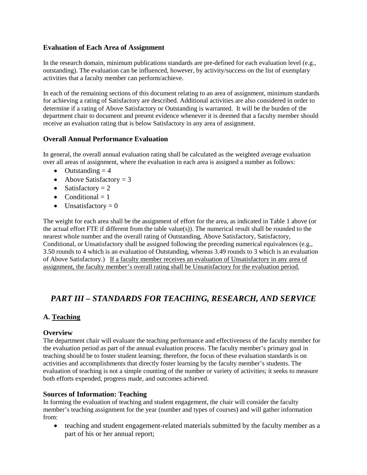## **Evaluation of Each Area of Assignment**

In the research domain, minimum publications standards are pre-defined for each evaluation level (e.g., outstanding). The evaluation can be influenced, however, by activity/success on the list of exemplary activities that a faculty member can perform/achieve.

In each of the remaining sections of this document relating to an area of assignment, minimum standards for achieving a rating of Satisfactory are described. Additional activities are also considered in order to determine if a rating of Above Satisfactory or Outstanding is warranted. It will be the burden of the department chair to document and present evidence whenever it is deemed that a faculty member should receive an evaluation rating that is below Satisfactory in any area of assignment.

## **Overall Annual Performance Evaluation**

In general, the overall annual evaluation rating shall be calculated as the weighted average evaluation over all areas of assignment, where the evaluation in each area is assigned a number as follows:

- Outstanding  $= 4$
- Above Satisfactory  $= 3$
- Satisfactory  $= 2$
- Conditional  $= 1$
- Unsatisfactory  $= 0$

The weight for each area shall be the assignment of effort for the area, as indicated in Table 1 above (or the actual effort FTE if different from the table value(s)). The numerical result shall be rounded to the nearest whole number and the overall rating of Outstanding, Above Satisfactory, Satisfactory, Conditional, or Unsatisfactory shall be assigned following the preceding numerical equivalences (e.g., 3.50 rounds to 4 which is an evaluation of Outstanding, whereas 3.49 rounds to 3 which is an evaluation of Above Satisfactory.) If a faculty member receives an evaluation of Unsatisfactory in any area of assignment, the faculty member's overall rating shall be Unsatisfactory for the evaluation period.

## *PART III – STANDARDS FOR TEACHING, RESEARCH, AND SERVICE*

## **A. Teaching**

## **Overview**

The department chair will evaluate the teaching performance and effectiveness of the faculty member for the evaluation period as part of the annual evaluation process. The faculty member's primary goal in teaching should be to foster student learning; therefore, the focus of these evaluation standards is on activities and accomplishments that directly foster learning by the faculty member's students. The evaluation of teaching is not a simple counting of the number or variety of activities; it seeks to measure both efforts expended, progress made, and outcomes achieved.

## **Sources of Information: Teaching**

In forming the evaluation of teaching and student engagement, the chair will consider the faculty member's teaching assignment for the year (number and types of courses) and will gather information from:

• teaching and student engagement-related materials submitted by the faculty member as a part of his or her annual report;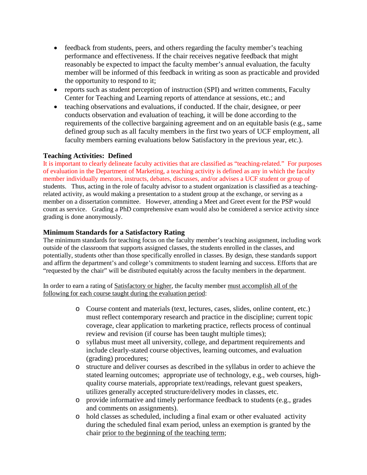- feedback from students, peers, and others regarding the faculty member's teaching performance and effectiveness. If the chair receives negative feedback that might reasonably be expected to impact the faculty member's annual evaluation, the faculty member will be informed of this feedback in writing as soon as practicable and provided the opportunity to respond to it;
- reports such as student perception of instruction (SPI) and written comments, Faculty Center for Teaching and Learning reports of attendance at sessions, etc.; and
- teaching observations and evaluations, if conducted. If the chair, designee, or peer conducts observation and evaluation of teaching, it will be done according to the requirements of the collective bargaining agreement and on an equitable basis (e.g., same defined group such as all faculty members in the first two years of UCF employment, all faculty members earning evaluations below Satisfactory in the previous year, etc.).

## **Teaching Activities: Defined**

It is important to clearly delineate faculty activities that are classified as "teaching-related." For purposes of evaluation in the Department of Marketing, a teaching activity is defined as any in which the faculty member individually mentors, instructs, debates, discusses, and/or advises a UCF student or group of students. Thus, acting in the role of faculty advisor to a student organization is classified as a teachingrelated activity, as would making a presentation to a student group at the exchange, or serving as a member on a dissertation committee. However, attending a Meet and Greet event for the PSP would count as service. Grading a PhD comprehensive exam would also be considered a service activity since grading is done anonymously.

## **Minimum Standards for a Satisfactory Rating**

The minimum standards for teaching focus on the faculty member's teaching assignment, including work outside of the classroom that supports assigned classes, the students enrolled in the classes, and potentially, students other than those specifically enrolled in classes. By design, these standards support and affirm the department's and college's commitments to student learning and success. Efforts that are "requested by the chair" will be distributed equitably across the faculty members in the department.

In order to earn a rating of Satisfactory or higher, the faculty member must accomplish all of the following for each course taught during the evaluation period:

- o Course content and materials (text, lectures, cases, slides, online content, etc.) must reflect contemporary research and practice in the discipline; current topic coverage, clear application to marketing practice, reflects process of continual review and revision (if course has been taught multiple times);
- o syllabus must meet all university, college, and department requirements and include clearly-stated course objectives, learning outcomes, and evaluation (grading) procedures;
- o structure and deliver courses as described in the syllabus in order to achieve the stated learning outcomes; appropriate use of technology, e.g., web courses, highquality course materials, appropriate text/readings, relevant guest speakers, utilizes generally accepted structure/delivery modes in classes, etc.
- o provide informative and timely performance feedback to students (e.g., grades and comments on assignments).
- o hold classes as scheduled, including a final exam or other evaluated activity during the scheduled final exam period, unless an exemption is granted by the chair prior to the beginning of the teaching term;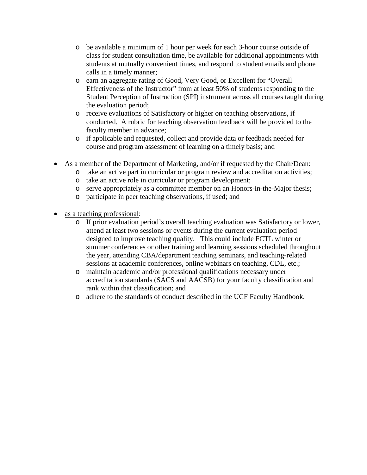- o be available a minimum of 1 hour per week for each 3-hour course outside of class for student consultation time, be available for additional appointments with students at mutually convenient times, and respond to student emails and phone calls in a timely manner;
- o earn an aggregate rating of Good, Very Good, or Excellent for "Overall Effectiveness of the Instructor" from at least 50% of students responding to the Student Perception of Instruction (SPI) instrument across all courses taught during the evaluation period;
- o receive evaluations of Satisfactory or higher on teaching observations, if conducted. A rubric for teaching observation feedback will be provided to the faculty member in advance;
- o if applicable and requested, collect and provide data or feedback needed for course and program assessment of learning on a timely basis; and
- As a member of the Department of Marketing, and/or if requested by the Chair/Dean:
	- o take an active part in curricular or program review and accreditation activities;
		- o take an active role in curricular or program development;
	- o serve appropriately as a committee member on an Honors-in-the-Major thesis;
	- o participate in peer teaching observations, if used; and
- as a teaching professional:
	- o If prior evaluation period's overall teaching evaluation was Satisfactory or lower, attend at least two sessions or events during the current evaluation period designed to improve teaching quality. This could include FCTL winter or summer conferences or other training and learning sessions scheduled throughout the year, attending CBA/department teaching seminars, and teaching-related sessions at academic conferences, online webinars on teaching, CDL, etc.;
	- o maintain academic and/or professional qualifications necessary under accreditation standards (SACS and AACSB) for your faculty classification and rank within that classification; and
	- o adhere to the standards of conduct described in the UCF Faculty Handbook.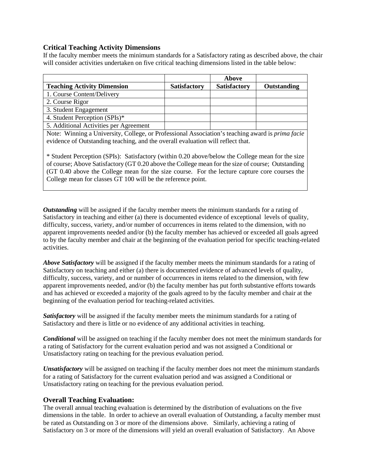## **Critical Teaching Activity Dimensions**

If the faculty member meets the minimum standards for a Satisfactory rating as described above, the chair will consider activities undertaken on five critical teaching dimensions listed in the table below:

|                                        |                     | Above               |             |
|----------------------------------------|---------------------|---------------------|-------------|
| <b>Teaching Activity Dimension</b>     | <b>Satisfactory</b> | <b>Satisfactory</b> | Outstanding |
| 1. Course Content/Delivery             |                     |                     |             |
| 2. Course Rigor                        |                     |                     |             |
| 3. Student Engagement                  |                     |                     |             |
| 4. Student Perception (SPIs)*          |                     |                     |             |
| 5. Additional Activities per Agreement |                     |                     |             |

Note: Winning a University, College, or Professional Association's teaching award is *prima facie* evidence of Outstanding teaching, and the overall evaluation will reflect that.

\* Student Perception (SPIs): Satisfactory (within 0.20 above/below the College mean for the size of course; Above Satisfactory (GT 0.20 above the College mean for the size of course; Outstanding (GT 0.40 above the College mean for the size course. For the lecture capture core courses the College mean for classes GT 100 will be the reference point.

*Outstanding* will be assigned if the faculty member meets the minimum standards for a rating of Satisfactory in teaching and either (a) there is documented evidence of exceptional levels of quality, difficulty, success, variety, and/or number of occurrences in items related to the dimension, with no apparent improvements needed and/or (b) the faculty member has achieved or exceeded all goals agreed to by the faculty member and chair at the beginning of the evaluation period for specific teaching-related activities.

*Above Satisfactory* will be assigned if the faculty member meets the minimum standards for a rating of Satisfactory on teaching and either (a) there is documented evidence of advanced levels of quality, difficulty, success, variety, and or number of occurrences in items related to the dimension, with few apparent improvements needed, and/or (b) the faculty member has put forth substantive efforts towards and has achieved or exceeded a majority of the goals agreed to by the faculty member and chair at the beginning of the evaluation period for teaching-related activities.

*Satisfactory* will be assigned if the faculty member meets the minimum standards for a rating of Satisfactory and there is little or no evidence of any additional activities in teaching.

*Conditional* will be assigned on teaching if the faculty member does not meet the minimum standards for a rating of Satisfactory for the current evaluation period and was not assigned a Conditional or Unsatisfactory rating on teaching for the previous evaluation period.

*Unsatisfactory* will be assigned on teaching if the faculty member does not meet the minimum standards for a rating of Satisfactory for the current evaluation period and was assigned a Conditional or Unsatisfactory rating on teaching for the previous evaluation period.

## **Overall Teaching Evaluation:**

The overall annual teaching evaluation is determined by the distribution of evaluations on the five dimensions in the table. In order to achieve an overall evaluation of Outstanding, a faculty member must be rated as Outstanding on 3 or more of the dimensions above. Similarly, achieving a rating of Satisfactory on 3 or more of the dimensions will yield an overall evaluation of Satisfactory. An Above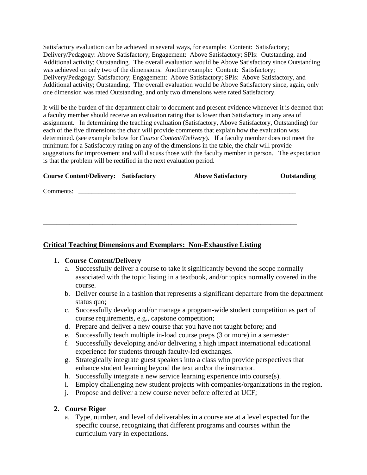Satisfactory evaluation can be achieved in several ways, for example: Content: Satisfactory; Delivery/Pedagogy: Above Satisfactory; Engagement: Above Satisfactory; SPIs: Outstanding, and Additional activity; Outstanding. The overall evaluation would be Above Satisfactory since Outstanding was achieved on only two of the dimensions. Another example: Content: Satisfactory; Delivery/Pedagogy: Satisfactory; Engagement: Above Satisfactory; SPIs: Above Satisfactory, and Additional activity; Outstanding. The overall evaluation would be Above Satisfactory since, again, only one dimension was rated Outstanding, and only two dimensions were rated Satisfactory.

It will be the burden of the department chair to document and present evidence whenever it is deemed that a faculty member should receive an evaluation rating that is lower than Satisfactory in any area of assignment. In determining the teaching evaluation (Satisfactory, Above Satisfactory, Outstanding) for each of the five dimensions the chair will provide comments that explain how the evaluation was determined. (see example below for *Course Content/Delivery*). If a faculty member does not meet the minimum for a Satisfactory rating on any of the dimensions in the table, the chair will provide suggestions for improvement and will discuss those with the faculty member in person. The expectation is that the problem will be rectified in the next evaluation period.

| <b>Course Content/Delivery: Satisfactory</b> | <b>Above Satisfactory</b> | Outstanding |
|----------------------------------------------|---------------------------|-------------|
| Comments:                                    |                           |             |
|                                              |                           |             |
|                                              |                           |             |
|                                              |                           |             |

## **Critical Teaching Dimensions and Exemplars: Non-Exhaustive Listing**

## **1. Course Content/Delivery**

- a. Successfully deliver a course to take it significantly beyond the scope normally associated with the topic listing in a textbook, and/or topics normally covered in the course.
- b. Deliver course in a fashion that represents a significant departure from the department status quo;
- c. Successfully develop and/or manage a program-wide student competition as part of course requirements, e.g., capstone competition;
- d. Prepare and deliver a new course that you have not taught before; and
- e. Successfully teach multiple in-load course preps (3 or more) in a semester
- f. Successfully developing and/or delivering a high impact international educational experience for students through faculty-led exchanges.
- g. Strategically integrate guest speakers into a class who provide perspectives that enhance student learning beyond the text and/or the instructor.
- h. Successfully integrate a new service learning experience into course(s).
- i. Employ challenging new student projects with companies/organizations in the region.
- j. Propose and deliver a new course never before offered at UCF;

## **2. Course Rigor**

a. Type, number, and level of deliverables in a course are at a level expected for the specific course, recognizing that different programs and courses within the curriculum vary in expectations.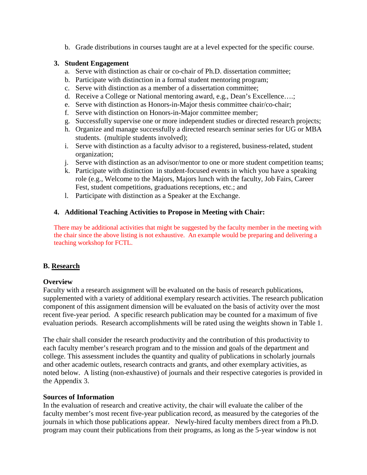b. Grade distributions in courses taught are at a level expected for the specific course.

## **3. Student Engagement**

- a. Serve with distinction as chair or co-chair of Ph.D. dissertation committee;
- b. Participate with distinction in a formal student mentoring program;
- c. Serve with distinction as a member of a dissertation committee;
- d. Receive a College or National mentoring award, e.g., Dean's Excellence….;
- e. Serve with distinction as Honors-in-Major thesis committee chair/co-chair;
- f. Serve with distinction on Honors-in-Major committee member;
- g. Successfully supervise one or more independent studies or directed research projects;
- h. Organize and manage successfully a directed research seminar series for UG or MBA students. (multiple students involved);
- i. Serve with distinction as a faculty advisor to a registered, business-related, student organization;
- j. Serve with distinction as an advisor/mentor to one or more student competition teams;
- k. Participate with distinction in student-focused events in which you have a speaking role (e.g., Welcome to the Majors, Majors lunch with the faculty, Job Fairs, Career Fest, student competitions, graduations receptions, etc.; and
- l. Participate with distinction as a Speaker at the Exchange.

## **4. Additional Teaching Activities to Propose in Meeting with Chair:**

There may be additional activities that might be suggested by the faculty member in the meeting with the chair since the above listing is not exhaustive. An example would be preparing and delivering a teaching workshop for FCTL.

## **B. Research**

## **Overview**

Faculty with a research assignment will be evaluated on the basis of research publications, supplemented with a variety of additional exemplary research activities. The research publication component of this assignment dimension will be evaluated on the basis of activity over the most recent five-year period. A specific research publication may be counted for a maximum of five evaluation periods. Research accomplishments will be rated using the weights shown in Table 1.

The chair shall consider the research productivity and the contribution of this productivity to each faculty member's research program and to the mission and goals of the department and college. This assessment includes the quantity and quality of publications in scholarly journals and other academic outlets, research contracts and grants, and other exemplary activities, as noted below. A listing (non-exhaustive) of journals and their respective categories is provided in the Appendix 3.

## **Sources of Information**

In the evaluation of research and creative activity, the chair will evaluate the caliber of the faculty member's most recent five-year publication record, as measured by the categories of the journals in which those publications appear. Newly-hired faculty members direct from a Ph.D. program may count their publications from their programs, as long as the 5-year window is not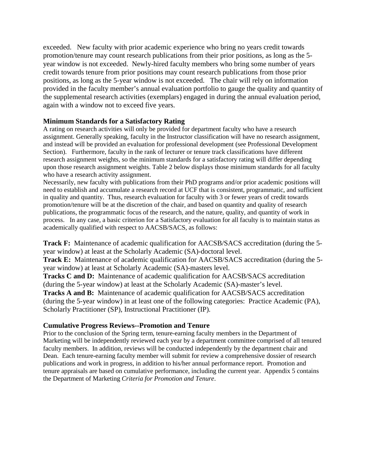exceeded. New faculty with prior academic experience who bring no years credit towards promotion/tenure may count research publications from their prior positions, as long as the 5 year window is not exceeded. Newly-hired faculty members who bring some number of years credit towards tenure from prior positions may count research publications from those prior positions, as long as the 5-year window is not exceeded. The chair will rely on information provided in the faculty member's annual evaluation portfolio to gauge the quality and quantity of the supplemental research activities (exemplars) engaged in during the annual evaluation period, again with a window not to exceed five years.

## **Minimum Standards for a Satisfactory Rating**

A rating on research activities will only be provided for department faculty who have a research assignment. Generally speaking, faculty in the Instructor classification will have no research assignment, and instead will be provided an evaluation for professional development (see Professional Development Section). Furthermore, faculty in the rank of lecturer or tenure track classifications have different research assignment weights, so the minimum standards for a satisfactory rating will differ depending upon those research assignment weights. Table 2 below displays those minimum standards for all faculty who have a research activity assignment.

Necessarily, new faculty with publications from their PhD programs and/or prior academic positions will need to establish and accumulate a research record at UCF that is consistent, programmatic, and sufficient in quality and quantity. Thus, research evaluation for faculty with 3 or fewer years of credit towards promotion/tenure will be at the discretion of the chair, and based on quantity and quality of research publications, the programmatic focus of the research, and the nature, quality, and quantity of work in process. In any case, a basic criterion for a Satisfactory evaluation for all faculty is to maintain status as academically qualified with respect to AACSB/SACS, as follows:

**Track F:** Maintenance of academic qualification for AACSB/SACS accreditation (during the 5 year window) at least at the Scholarly Academic (SA)-doctoral level.

**Track E:** Maintenance of academic qualification for AACSB/SACS accreditation (during the 5 year window) at least at Scholarly Academic (SA)-masters level.

**Tracks C and D:** Maintenance of academic qualification for AACSB/SACS accreditation (during the 5-year window) at least at the Scholarly Academic (SA)-master's level. **Tracks A and B:** Maintenance of academic qualification for AACSB/SACS accreditation (during the 5-year window) in at least one of the following categories: Practice Academic (PA), Scholarly Practitioner (SP), Instructional Practitioner (IP).

## **Cumulative Progress Reviews--Promotion and Tenure**

Prior to the conclusion of the Spring term, tenure-earning faculty members in the Department of Marketing will be independently reviewed each year by a department committee comprised of all tenured faculty members. In addition, reviews will be conducted independently by the department chair and Dean. Each tenure-earning faculty member will submit for review a comprehensive dossier of research publications and work in progress, in addition to his/her annual performance report. Promotion and tenure appraisals are based on cumulative performance, including the current year. Appendix 5 contains the Department of Marketing *Criteria for Promotion and Tenure*.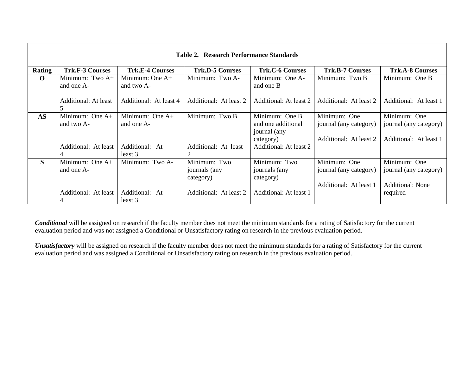|           |                           |                        | Table 2. Research Performance Standards |                        |                        |                         |
|-----------|---------------------------|------------------------|-----------------------------------------|------------------------|------------------------|-------------------------|
| Rating    | <b>Trk.F-3 Courses</b>    | <b>Trk.E-4 Courses</b> | <b>Trk.D-5 Courses</b>                  | <b>Trk.C-6 Courses</b> | <b>Trk.B-7 Courses</b> | <b>Trk.A-8 Courses</b>  |
| $\Omega$  | Minimum: Two $A+$         | Minimum: One $A+$      | Minimum: Two A-                         | Minimum: One A-        | Minimum: Two B         | Minimum: One B          |
|           | and one A-                | and two A-             |                                         | and one B              |                        |                         |
|           |                           |                        |                                         |                        |                        |                         |
|           | Additional: At least<br>5 | Additional: At least 4 | Additional: At least 2                  | Additional: At least 2 | Additional: At least 2 | Additional: At least 1  |
| <b>AS</b> | Minimum: One $A+$         | Minimum: One $A+$      | Minimum: Two B                          | Minimum: One B         | Minimum: One           | Minimum: One            |
|           | and two A-                | and one A-             |                                         | and one additional     | journal (any category) | journal (any category)  |
|           |                           |                        |                                         | journal (any           |                        |                         |
|           |                           |                        |                                         | category)              | Additional: At least 2 | Additional: At least 1  |
|           | Additional: At least      | Additional: At         | Additional: At least                    | Additional: At least 2 |                        |                         |
|           |                           | least 3                |                                         |                        |                        |                         |
| S         | Minimum: One $A+$         | Minimum: Two A-        | Minimum: Two                            | Minimum: Two           | Minimum: One           | Minimum: One            |
|           | and one A-                |                        | journals (any                           | journals (any          | journal (any category) | journal (any category)  |
|           |                           |                        | category)                               | category)              |                        |                         |
|           |                           |                        |                                         |                        | Additional: At least 1 | <b>Additional: None</b> |
|           | Additional: At least      | Additional: At         | Additional: At least 2                  | Additional: At least 1 |                        | required                |
|           |                           | least 3                |                                         |                        |                        |                         |

*Conditional* will be assigned on research if the faculty member does not meet the minimum standards for a rating of Satisfactory for the current evaluation period and was not assigned a Conditional or Unsatisfactory rating on research in the previous evaluation period.

*Unsatisfactory* will be assigned on research if the faculty member does not meet the minimum standards for a rating of Satisfactory for the current evaluation period and was assigned a Conditional or Unsatisfactory rating on research in the previous evaluation period.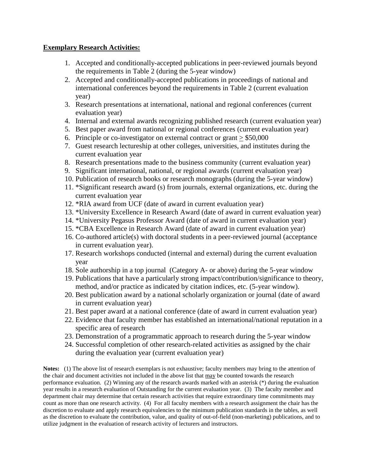## **Exemplary Research Activities:**

- 1. Accepted and conditionally-accepted publications in peer-reviewed journals beyond the requirements in Table 2 (during the 5-year window)
- 2. Accepted and conditionally-accepted publications in proceedings of national and international conferences beyond the requirements in Table 2 (current evaluation year)
- 3. Research presentations at international, national and regional conferences (current evaluation year)
- 4. Internal and external awards recognizing published research (current evaluation year)
- 5. Best paper award from national or regional conferences (current evaluation year)
- 6. Principle or co-investigator on external contract or grant > \$50,000
- 7. Guest research lectureship at other colleges, universities, and institutes during the current evaluation year
- 8. Research presentations made to the business community (current evaluation year)
- 9. Significant international, national, or regional awards (current evaluation year)
- 10. Publication of research books or research monographs (during the 5-year window)
- 11. \*Significant research award (s) from journals, external organizations, etc. during the current evaluation year
- 12. \*RIA award from UCF (date of award in current evaluation year)
- 13. \*University Excellence in Research Award (date of award in current evaluation year)
- 14. \*University Pegasus Professor Award (date of award in current evaluation year)
- 15. \*CBA Excellence in Research Award (date of award in current evaluation year)
- 16. Co-authored article(s) with doctoral students in a peer-reviewed journal (acceptance in current evaluation year).
- 17. Research workshops conducted (internal and external) during the current evaluation year
- 18. Sole authorship in a top journal (Category A- or above) during the 5-year window
- 19. Publications that have a particularly strong impact/contribution/significance to theory, method, and/or practice as indicated by citation indices, etc. (5-year window).
- 20. Best publication award by a national scholarly organization or journal (date of award in current evaluation year)
- 21. Best paper award at a national conference (date of award in current evaluation year)
- 22. Evidence that faculty member has established an international/national reputation in a specific area of research
- 23. Demonstration of a programmatic approach to research during the 5-year window
- 24. Successful completion of other research-related activities as assigned by the chair during the evaluation year (current evaluation year)

**Notes:** (1) The above list of research exemplars is not exhaustive; faculty members may bring to the attention of the chair and document activities not included in the above list that may be counted towards the research performance evaluation. (2) Winning any of the research awards marked with an asterisk (\*) during the evaluation year results in a research evaluation of Outstanding for the current evaluation year. (3) The faculty member and department chair may determine that certain research activities that require extraordinary time commitments may count as more than one research activity. (4) For all faculty members with a research assignment the chair has the discretion to evaluate and apply research equivalencies to the minimum publication standards in the tables, as well as the discretion to evaluate the contribution, value, and quality of out-of-field (non-marketing) publications, and to utilize judgment in the evaluation of research activity of lecturers and instructors.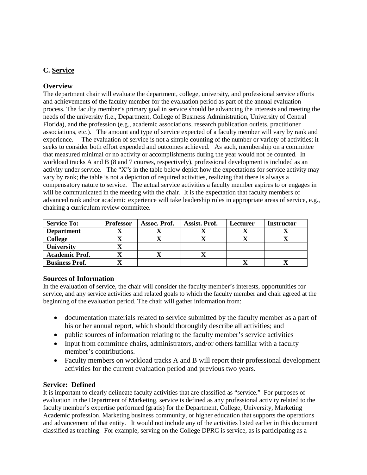## **C. Service**

## **Overview**

The department chair will evaluate the department, college, university, and professional service efforts and achievements of the faculty member for the evaluation period as part of the annual evaluation process. The faculty member's primary goal in service should be advancing the interests and meeting the needs of the university (i.e., Department, College of Business Administration, University of Central Florida), and the profession (e.g., academic associations, research publication outlets, practitioner associations, etc.). The amount and type of service expected of a faculty member will vary by rank and experience. The evaluation of service is not a simple counting of the number or variety of activities; it seeks to consider both effort expended and outcomes achieved. As such, membership on a committee that measured minimal or no activity or accomplishments during the year would not be counted. In workload tracks A and B (8 and 7 courses, respectively), professional development is included as an activity under service. The "X"s in the table below depict how the expectations for service activity may vary by rank; the table is not a depiction of required activities, realizing that there is always a compensatory nature to service. The actual service activities a faculty member aspires to or engages in will be communicated in the meeting with the chair. It is the expectation that faculty members of advanced rank and/or academic experience will take leadership roles in appropriate areas of service, e.g., chairing a curriculum review committee.

| <b>Service To:</b>    | <b>Professor</b> | Assoc. Prof. | Assist. Prof. | Lecturer | <b>Instructor</b> |
|-----------------------|------------------|--------------|---------------|----------|-------------------|
| <b>Department</b>     |                  |              |               |          |                   |
| <b>College</b>        |                  |              |               |          |                   |
| University            |                  |              |               |          |                   |
| <b>Academic Prof.</b> |                  |              |               |          |                   |
| <b>Business Prof.</b> |                  |              |               |          |                   |

#### **Sources of Information**

In the evaluation of service, the chair will consider the faculty member's interests, opportunities for service, and any service activities and related goals to which the faculty member and chair agreed at the beginning of the evaluation period. The chair will gather information from:

- documentation materials related to service submitted by the faculty member as a part of his or her annual report, which should thoroughly describe all activities; and
- public sources of information relating to the faculty member's service activities
- Input from committee chairs, administrators, and/or others familiar with a faculty member's contributions.
- Faculty members on workload tracks A and B will report their professional development activities for the current evaluation period and previous two years.

## **Service: Defined**

It is important to clearly delineate faculty activities that are classified as "service." For purposes of evaluation in the Department of Marketing, service is defined as any professional activity related to the faculty member's expertise performed (gratis) for the Department, College, University, Marketing Academic profession, Marketing business community, or higher education that supports the operations and advancement of that entity. It would not include any of the activities listed earlier in this document classified as teaching. For example, serving on the College DPRC is service, as is participating as a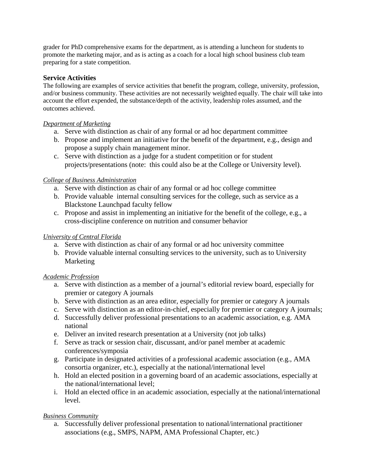grader for PhD comprehensive exams for the department, as is attending a luncheon for students to promote the marketing major, and as is acting as a coach for a local high school business club team preparing for a state competition.

## **Service Activities**

The following are examples of service activities that benefit the program, college, university, profession, and/or business community. These activities are not necessarily weighted equally. The chair will take into account the effort expended, the substance/depth of the activity, leadership roles assumed, and the outcomes achieved.

## *Department of Marketing*

- a. Serve with distinction as chair of any formal or ad hoc department committee
- b. Propose and implement an initiative for the benefit of the department, e.g., design and propose a supply chain management minor.
- c. Serve with distinction as a judge for a student competition or for student projects/presentations (note: this could also be at the College or University level).

## *College of Business Administration*

- a. Serve with distinction as chair of any formal or ad hoc college committee
- b. Provide valuable internal consulting services for the college, such as service as a Blackstone Launchpad faculty fellow
- c. Propose and assist in implementing an initiative for the benefit of the college, e.g., a cross-discipline conference on nutrition and consumer behavior

## *University of Central Florida*

- a. Serve with distinction as chair of any formal or ad hoc university committee
- b. Provide valuable internal consulting services to the university, such as to University Marketing

## *Academic Profession*

- a. Serve with distinction as a member of a journal's editorial review board, especially for premier or category A journals
- b. Serve with distinction as an area editor, especially for premier or category A journals
- c. Serve with distinction as an editor-in-chief, especially for premier or category A journals;
- d. Successfully deliver professional presentations to an academic association, e.g. AMA national
- e. Deliver an invited research presentation at a University (not job talks)
- f. Serve as track or session chair, discussant, and/or panel member at academic conferences/symposia
- g. Participate in designated activities of a professional academic association (e.g., AMA consortia organizer, etc.), especially at the national/international level
- h. Hold an elected position in a governing board of an academic associations, especially at the national/international level;
- i. Hold an elected office in an academic association, especially at the national/international level.

## *Business Community*

a. Successfully deliver professional presentation to national/international practitioner associations (e.g., SMPS, NAPM, AMA Professional Chapter, etc.)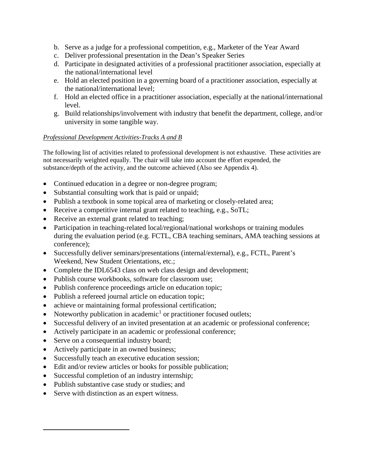- b. Serve as a judge for a professional competition, e.g., Marketer of the Year Award
- c. Deliver professional presentation in the Dean's Speaker Series
- d. Participate in designated activities of a professional practitioner association, especially at the national/international level
- e. Hold an elected position in a governing board of a practitioner association, especially at the national/international level;
- f. Hold an elected office in a practitioner association, especially at the national/international level.
- g. Build relationships/involvement with industry that benefit the department, college, and/or university in some tangible way.

## *Professional Development Activities-Tracks A and B*

The following list of activities related to professional development is not exhaustive. These activities are not necessarily weighted equally. The chair will take into account the effort expended, the substance/depth of the activity, and the outcome achieved (Also see Appendix 4).

- Continued education in a degree or non-degree program;
- Substantial consulting work that is paid or unpaid;
- Publish a textbook in some topical area of marketing or closely-related area;
- Receive a competitive internal grant related to teaching, e.g., SoTL;
- Receive an external grant related to teaching;
- Participation in teaching-related local/regional/national workshops or training modules during the evaluation period (e.g. FCTL, CBA teaching seminars, AMA teaching sessions at conference);
- Successfully deliver seminars/presentations (internal/external), e.g., FCTL, Parent's Weekend, New Student Orientations, etc.;
- Complete the IDL6543 class on web class design and development;
- Publish course workbooks, software for classroom use;
- Publish conference proceedings article on education topic;
- Publish a refereed journal article on education topic;
- achieve or maintaining formal professional certification;
- Noteworthy publication in academic<sup>[1](#page-15-0)</sup> or practitioner focused outlets;
- Successful delivery of an invited presentation at an academic or professional conference;
- Actively participate in an academic or professional conference;
- Serve on a consequential industry board;
- Actively participate in an owned business;
- Successfully teach an executive education session;
- Edit and/or review articles or books for possible publication;
- Successful completion of an industry internship;
- Publish substantive case study or studies; and
- Serve with distinction as an expert witness.

<span id="page-15-0"></span> $\overline{a}$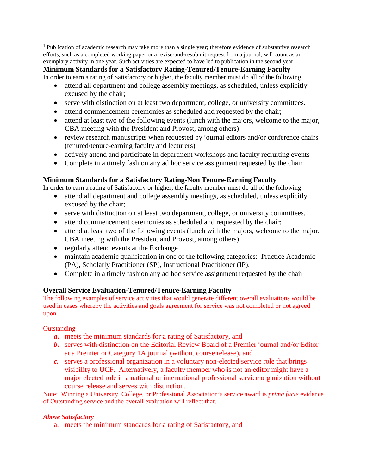<sup>1</sup> Publication of academic research may take more than a single year; therefore evidence of substantive research efforts, such as a completed working paper or a revise-and-resubmit request from a journal, will count as an exemplary activity in one year. Such activities are expected to have led to publication in the second year.

**Minimum Standards for a Satisfactory Rating-Tenured/Tenure-Earning Faculty**

In order to earn a rating of Satisfactory or higher, the faculty member must do all of the following:

- attend all department and college assembly meetings, as scheduled, unless explicitly excused by the chair;
- serve with distinction on at least two department, college, or university committees.
- attend commencement ceremonies as scheduled and requested by the chair;
- attend at least two of the following events (lunch with the majors, welcome to the major, CBA meeting with the President and Provost, among others)
- review research manuscripts when requested by journal editors and/or conference chairs (tenured/tenure-earning faculty and lecturers)
- actively attend and participate in department workshops and faculty recruiting events
- Complete in a timely fashion any ad hoc service assignment requested by the chair

## **Minimum Standards for a Satisfactory Rating-Non Tenure-Earning Faculty**

In order to earn a rating of Satisfactory or higher, the faculty member must do all of the following:

- attend all department and college assembly meetings, as scheduled, unless explicitly excused by the chair;
- serve with distinction on at least two department, college, or university committees.
- attend commencement ceremonies as scheduled and requested by the chair;
- attend at least two of the following events (lunch with the majors, welcome to the major, CBA meeting with the President and Provost, among others)
- regularly attend events at the Exchange
- maintain academic qualification in one of the following categories: Practice Academic (PA), Scholarly Practitioner (SP), Instructional Practitioner (IP).
- Complete in a timely fashion any ad hoc service assignment requested by the chair

## **Overall Service Evaluation-Tenured/Tenure-Earning Faculty**

The following examples of service activities that would generate different overall evaluations would be used in cases whereby the activities and goals agreement for service was not completed or not agreed upon.

**Outstanding** 

- *a.* meets the minimum standards for a rating of Satisfactory, and
- *b.* serves with distinction on the Editorial Review Board of a Premier journal and/or Editor at a Premier or Category 1A journal (without course release), and
- *c.* serves a professional organization in a voluntary non-elected service role that brings visibility to UCF. Alternatively, a faculty member who is not an editor might have a major elected role in a national or international professional service organization without course release and serves with distinction.

Note: Winning a University, College, or Professional Association's service award is *prima facie* evidence of Outstanding service and the overall evaluation will reflect that.

## *Above Satisfactory*

a. meets the minimum standards for a rating of Satisfactory, and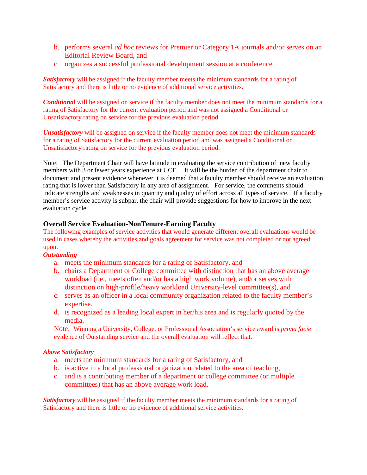- b. performs several *ad hoc* reviews for Premier or Category 1A journals and/or serves on an Editorial Review Board, and
- c. organizes a successful professional development session at a conference.

*Satisfactory* will be assigned if the faculty member meets the minimum standards for a rating of Satisfactory and there is little or no evidence of additional service activities.

*Conditional* will be assigned on service if the faculty member does not meet the minimum standards for a rating of Satisfactory for the current evaluation period and was not assigned a Conditional or Unsatisfactory rating on service for the previous evaluation period.

*Unsatisfactory* will be assigned on service if the faculty member does not meet the minimum standards for a rating of Satisfactory for the current evaluation period and was assigned a Conditional or Unsatisfactory rating on service for the previous evaluation period.

Note: The Department Chair will have latitude in evaluating the service contribution of new faculty members with 3 or fewer years experience at UCF. It will be the burden of the department chair to document and present evidence whenever it is deemed that a faculty member should receive an evaluation rating that is lower than Satisfactory in any area of assignment. For service, the comments should indicate strengths and weaknesses in quantity and quality of effort across all types of service. If a faculty member's service activity is subpar, the chair will provide suggestions for how to improve in the next evaluation cycle.

#### **Overall Service Evaluation-NonTenure-Earning Faculty**

The following examples of service activities that would generate different overall evaluations would be used in cases whereby the activities and goals agreement for service was not completed or not agreed upon.

#### *Outstanding*

- a. meets the minimum standards for a rating of Satisfactory, and
- b. chairs a Department or College committee with distinction that has an above average workload (i.e., meets often and/or has a high work volume), and/or serves with distinction on high-profile/heavy workload University-level committee(s), and
- c. serves as an officer in a local community organization related to the faculty member's expertise.
- d. is recognized as a leading local expert in her/his area and is regularly quoted by the media.

Note: Winning a University, College, or Professional Association's service award is *prima facie* evidence of Outstanding service and the overall evaluation will reflect that.

#### *Above Satisfactory*

- a. meets the minimum standards for a rating of Satisfactory, and
- b. is active in a local professional organization related to the area of teaching,
- c. and is a contributing member of a department or college committee (or multiple committees) that has an above average work load.

*Satisfactory* will be assigned if the faculty member meets the minimum standards for a rating of Satisfactory and there is little or no evidence of additional service activities.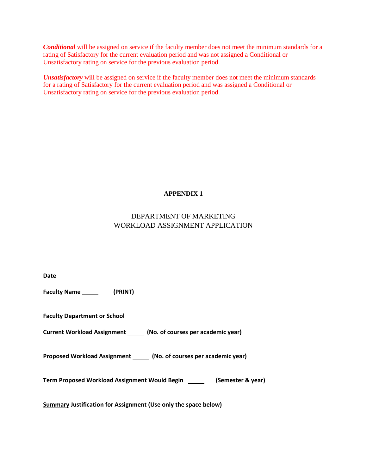*Conditional* will be assigned on service if the faculty member does not meet the minimum standards for a rating of Satisfactory for the current evaluation period and was not assigned a Conditional or Unsatisfactory rating on service for the previous evaluation period.

*Unsatisfactory* will be assigned on service if the faculty member does not meet the minimum standards for a rating of Satisfactory for the current evaluation period and was assigned a Conditional or Unsatisfactory rating on service for the previous evaluation period.

## **APPENDIX 1**

## DEPARTMENT OF MARKETING WORKLOAD ASSIGNMENT APPLICATION

| Date $\_\_$                                                               |
|---------------------------------------------------------------------------|
|                                                                           |
| <b>Faculty Department or School</b>                                       |
| Current Workload Assignment ______ (No. of courses per academic year)     |
| Proposed Workload Assignment ______ (No. of courses per academic year)    |
| Term Proposed Workload Assignment Would Begin _________ (Semester & year) |
| Summary Justification for Assignment (Use only the space below)           |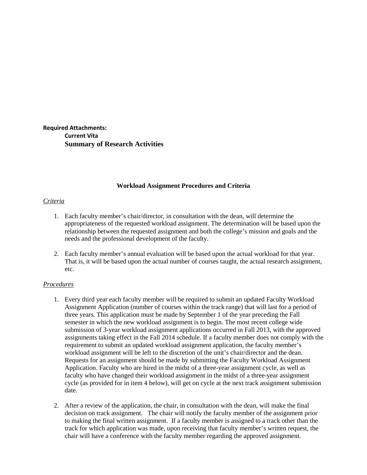**Required Attachments: Current Vita Summary of Research Activities**

#### **Workload Assignment Procedures and Criteria**

#### *Criteria*

- 1. Each faculty member's chair/director, in consultation with the dean, will determine the appropriateness of the requested workload assignment. The determination will be based upon the relationship between the requested assignment and both the college's mission and goals and the needs and the professional development of the faculty.
- 2. Each faculty member's annual evaluation will be based upon the actual workload for that year. That is, it will be based upon the actual number of courses taught, the actual research assignment, etc.

#### *Procedures*

- 1. Every third year each faculty member will be required to submit an updated Faculty Workload Assignment Application (number of courses within the track range) that will last for a period of three years. This application must be made by September 1 of the year preceding the Fall semester in which the new workload assignment is to begin. The most recent college wide submission of 3-year workload assignment applications occurred in Fall 2013, with the approved assignments taking effect in the Fall 2014 schedule. If a faculty member does not comply with the requirement to submit an updated workload assignment application, the faculty member's workload assignment will be left to the discretion of the unit's chair/director and the dean. Requests for an assignment should be made by submitting the Faculty Workload Assignment Application. Faculty who are hired in the midst of a three-year assignment cycle, as well as faculty who have changed their workload assignment in the midst of a three-year assignment cycle (as provided for in item 4 below), will get on cycle at the next track assignment submission date.
- 2. After a review of the application, the chair, in consultation with the dean, will make the final decision on track assignment. The chair will notify the faculty member of the assignment prior to making the final written assignment. If a faculty member is assigned to a track other than the track for which application was made, upon receiving that faculty member's written request, the chair will have a conference with the faculty member regarding the approved assignment.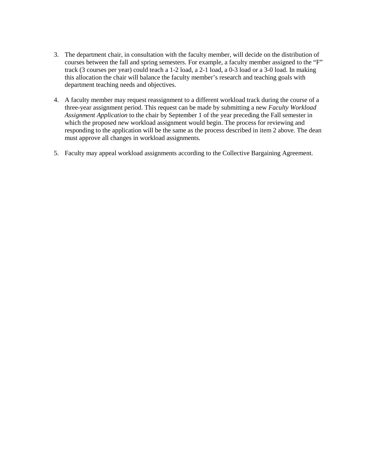- 3. The department chair, in consultation with the faculty member, will decide on the distribution of courses between the fall and spring semesters. For example, a faculty member assigned to the "F" track (3 courses per year) could teach a 1-2 load, a 2-1 load, a 0-3 load or a 3-0 load. In making this allocation the chair will balance the faculty member's research and teaching goals with department teaching needs and objectives.
- 4. A faculty member may request reassignment to a different workload track during the course of a three-year assignment period. This request can be made by submitting a new *Faculty Workload Assignment Application* to the chair by September 1 of the year preceding the Fall semester in which the proposed new workload assignment would begin. The process for reviewing and responding to the application will be the same as the process described in item 2 above. The dean must approve all changes in workload assignments.
- 5. Faculty may appeal workload assignments according to the Collective Bargaining Agreement.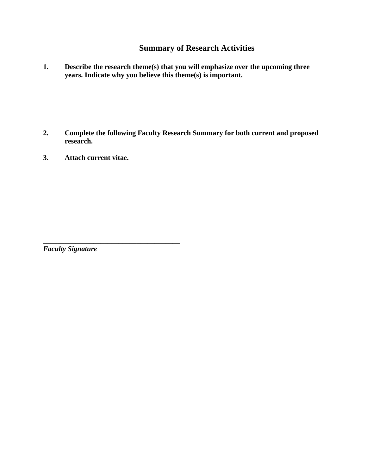## **Summary of Research Activities**

**1. Describe the research theme(s) that you will emphasize over the upcoming three years. Indicate why you believe this theme(s) is important.**

- **2. Complete the following Faculty Research Summary for both current and proposed research.**
- **3. Attach current vitae.**

**\_\_\_\_\_\_\_\_\_\_\_\_\_\_\_\_\_\_\_\_\_\_\_\_\_\_\_\_\_\_\_\_\_\_\_\_\_\_**

*Faculty Signature*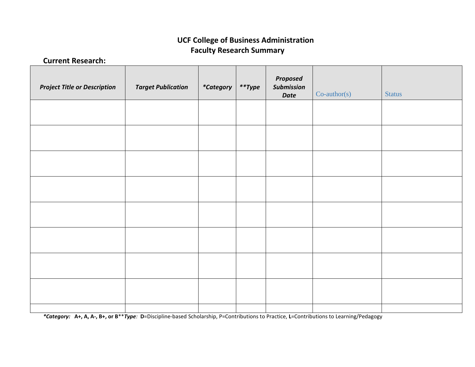## **UCF College of Business Administration Faculty Research Summary**

**Current Research:**

| <b>Project Title or Description</b> | <b>Target Publication</b> | <i>*Category</i> | $*$ *Type | Proposed<br>Submission<br>Date | $Co$ -author(s) | Status |
|-------------------------------------|---------------------------|------------------|-----------|--------------------------------|-----------------|--------|
|                                     |                           |                  |           |                                |                 |        |
|                                     |                           |                  |           |                                |                 |        |
|                                     |                           |                  |           |                                |                 |        |
|                                     |                           |                  |           |                                |                 |        |
|                                     |                           |                  |           |                                |                 |        |
|                                     |                           |                  |           |                                |                 |        |
|                                     |                           |                  |           |                                |                 |        |
|                                     |                           |                  |           |                                |                 |        |
|                                     |                           |                  |           |                                |                 |        |

*\*Category:* **A+, A, A-, B+, or B**\*\**Type:* **D**=Discipline-based Scholarship, P=Contributions to Practice, **L**=Contributions to Learning/Pedagogy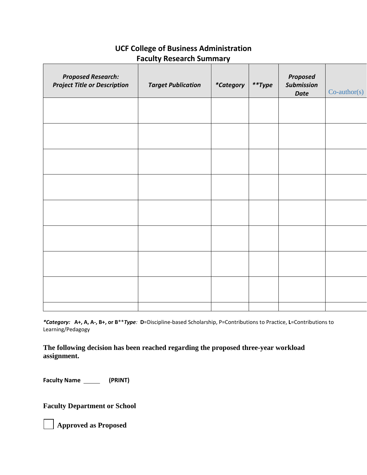| <b>Proposed Research:</b><br><b>Project Title or Description</b> | <b>Target Publication</b> | <i>*Category</i> | $*$ *Type | Proposed<br><b>Submission</b><br><b>Date</b> | $Co$ -author(s) |
|------------------------------------------------------------------|---------------------------|------------------|-----------|----------------------------------------------|-----------------|
|                                                                  |                           |                  |           |                                              |                 |
|                                                                  |                           |                  |           |                                              |                 |
|                                                                  |                           |                  |           |                                              |                 |
|                                                                  |                           |                  |           |                                              |                 |
|                                                                  |                           |                  |           |                                              |                 |
|                                                                  |                           |                  |           |                                              |                 |
|                                                                  |                           |                  |           |                                              |                 |
|                                                                  |                           |                  |           |                                              |                 |
|                                                                  |                           |                  |           |                                              |                 |

## **UCF College of Business Administration Faculty Research Summary**

*\*Category:* **A+, A, A-, B+, or B**\*\**Type:* **D**=Discipline-based Scholarship, P=Contributions to Practice, **L**=Contributions to Learning/Pedagogy

**The following decision has been reached regarding the proposed three-year workload assignment.**

Faculty Name \_\_\_\_\_\_\_\_ (PRINT)

**Faculty Department or School** 

**Approved as Proposed**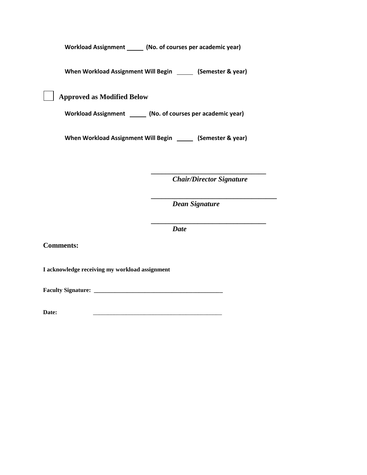Workload Assignment \_\_\_\_\_\_ (No. of courses per academic year)

**When Workload Assignment Will Begin (Semester & year)**

 **Approved as Modified Below** 

Workload Assignment **[1974]** (No. of courses per academic year)

When Workload Assignment Will Begin **[19]** (Semester & year)

**\_\_\_\_\_\_\_\_\_\_\_\_\_\_\_\_\_\_\_\_\_\_\_\_\_\_\_\_\_\_\_\_** *Chair/Director Signature*

**\_\_\_\_\_\_\_\_\_\_\_\_\_\_\_\_\_\_\_\_\_\_\_\_\_\_\_\_\_\_\_\_**

**\_\_\_\_\_\_\_\_\_\_\_\_\_\_\_\_\_\_\_\_\_\_\_\_\_\_\_\_\_\_\_\_\_\_\_**

*Dean Signature*

*Date*

**Comments:**

**I acknowledge receiving my workload assignment**

**Faculty Signature: \_\_\_\_\_\_\_\_\_\_\_\_\_\_\_\_\_\_\_\_\_\_\_\_\_\_\_\_\_\_\_\_\_\_\_\_\_\_\_\_\_\_\_** 

**Date:** \_\_\_\_\_\_\_\_\_\_\_\_\_\_\_\_\_\_\_\_\_\_\_\_\_\_\_\_\_\_\_\_\_\_\_\_\_\_\_\_\_\_\_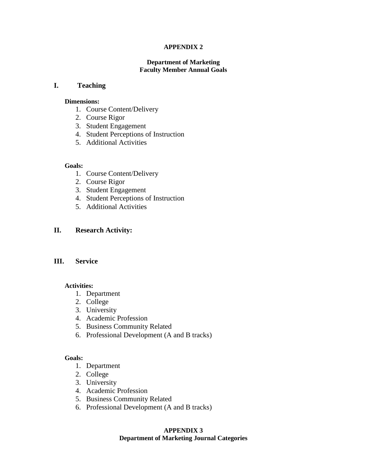#### **APPENDIX 2**

#### **Department of Marketing Faculty Member Annual Goals**

#### **I. Teaching**

#### **Dimensions:**

- 1. Course Content/Delivery
- 2. Course Rigor
- 3. Student Engagement
- 4. Student Perceptions of Instruction
- 5. Additional Activities

#### **Goals:**

- 1. Course Content/Delivery
- 2. Course Rigor
- 3. Student Engagement
- 4. Student Perceptions of Instruction
- 5. Additional Activities

#### **II. Research Activity:**

## **III. Service**

#### **Activities:**

- 1. Department
- 2. College
- 3. University
- 4. Academic Profession
- 5. Business Community Related
- 6. Professional Development (A and B tracks)

#### **Goals:**

- 1. Department
- 2. College
- 3. University
- 4. Academic Profession
- 5. Business Community Related
- 6. Professional Development (A and B tracks)

#### **APPENDIX 3 Department of Marketing Journal Categories**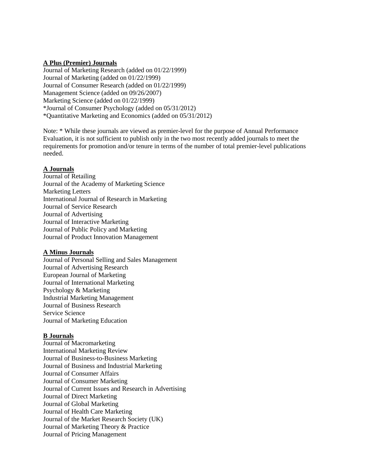#### **A Plus (Premier) Journals**

Journal of Marketing Research (added on 01/22/1999) Journal of Marketing (added on 01/22/1999) Journal of Consumer Research (added on 01/22/1999) Management Science (added on 09/26/2007) Marketing Science (added on 01/22/1999) \*Journal of Consumer Psychology (added on 05/31/2012) \*Quantitative Marketing and Economics (added on 05/31/2012)

Note: \* While these journals are viewed as premier-level for the purpose of Annual Performance Evaluation, it is not sufficient to publish only in the two most recently added journals to meet the requirements for promotion and/or tenure in terms of the number of total premier-level publications needed.

#### **A Journals**

Journal of Retailing Journal of the Academy of Marketing Science Marketing Letters International Journal of Research in Marketing Journal of Service Research Journal of Advertising Journal of Interactive Marketing Journal of Public Policy and Marketing Journal of Product Innovation Management

#### **A Minus Journals**

Journal of Personal Selling and Sales Management Journal of Advertising Research European Journal of Marketing Journal of International Marketing Psychology & Marketing Industrial Marketing Management Journal of Business Research Service Science Journal of Marketing Education

#### **B Journals**

Journal of Macromarketing International Marketing Review Journal of Business-to-Business Marketing Journal of Business and Industrial Marketing Journal of Consumer Affairs Journal of Consumer Marketing Journal of Current Issues and Research in Advertising Journal of Direct Marketing Journal of Global Marketing Journal of Health Care Marketing Journal of the Market Research Society (UK) Journal of Marketing Theory & Practice Journal of Pricing Management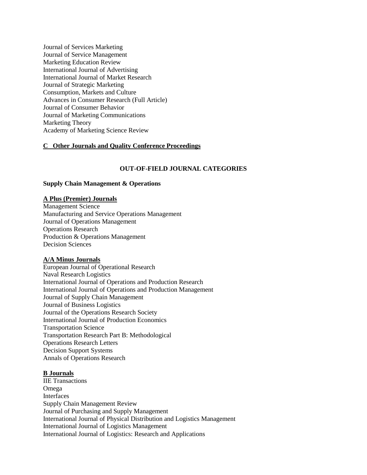Journal of Services Marketing Journal of Service Management Marketing Education Review International Journal of Advertising International Journal of Market Research Journal of Strategic Marketing Consumption, Markets and Culture Advances in Consumer Research (Full Article) Journal of Consumer Behavior Journal of Marketing Communications Marketing Theory Academy of Marketing Science Review

#### **C Other Journals and Quality Conference Proceedings**

#### **OUT-OF-FIELD JOURNAL CATEGORIES**

#### **Supply Chain Management & Operations**

#### **A Plus (Premier) Journals**

Management Science Manufacturing and Service Operations Management Journal of Operations Management Operations Research Production & Operations Management Decision Sciences

#### **A/A Minus Journals**

European Journal of Operational Research Naval Research Logistics International Journal of Operations and Production Research International Journal of Operations and Production Management Journal of Supply Chain Management Journal of Business Logistics Journal of the Operations Research Society International Journal of Production Economics Transportation Science Transportation Research Part B: Methodological Operations Research Letters Decision Support Systems Annals of Operations Research

#### **B Journals**

IIE Transactions Omega Interfaces Supply Chain Management Review Journal of Purchasing and Supply Management International Journal of Physical Distribution and Logistics Management International Journal of Logistics Management International Journal of Logistics: Research and Applications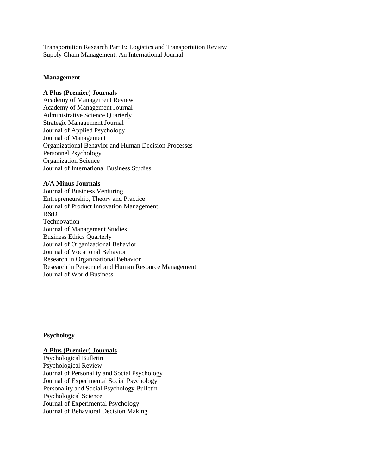Transportation Research Part E: Logistics and Transportation Review Supply Chain Management: An International Journal

#### **Management**

## **A Plus (Premier) Journals**

Academy of Management Review Academy of Management Journal Administrative Science Quarterly Strategic Management Journal Journal of Applied Psychology Journal of Management Organizational Behavior and Human Decision Processes Personnel Psychology Organization Science Journal of International Business Studies

#### **A/A Minus Journals**

Journal of Business Venturing Entrepreneurship, Theory and Practice Journal of Product Innovation Management R&D Technovation Journal of Management Studies Business Ethics Quarterly Journal of Organizational Behavior Journal of Vocational Behavior Research in Organizational Behavior Research in Personnel and Human Resource Management Journal of World Business

#### **Psychology**

#### **A Plus (Premier) Journals**

Psychological Bulletin Psychological Review Journal of Personality and Social Psychology Journal of Experimental Social Psychology Personality and Social Psychology Bulletin Psychological Science Journal of Experimental Psychology Journal of Behavioral Decision Making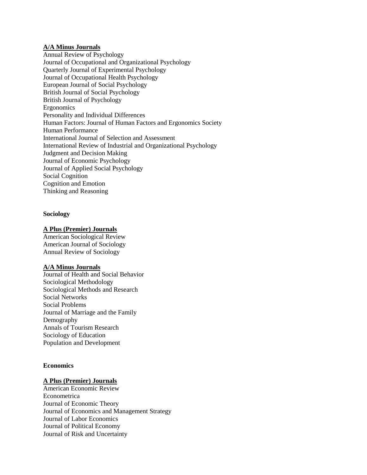## **A/A Minus Journals**

Annual Review of Psychology Journal of Occupational and Organizational Psychology Quarterly Journal of Experimental Psychology Journal of Occupational Health Psychology European Journal of Social Psychology British Journal of Social Psychology British Journal of Psychology Ergonomics Personality and Individual Differences Human Factors: Journal of Human Factors and Ergonomics Society Human Performance International Journal of Selection and Assessment International Review of Industrial and Organizational Psychology Judgment and Decision Making Journal of Economic Psychology Journal of Applied Social Psychology Social Cognition Cognition and Emotion Thinking and Reasoning

#### **Sociology**

#### **A Plus (Premier) Journals**

American Sociological Review American Journal of Sociology Annual Review of Sociology

#### **A/A Minus Journals**

Journal of Health and Social Behavior Sociological Methodology Sociological Methods and Research Social Networks Social Problems Journal of Marriage and the Family Demography Annals of Tourism Research Sociology of Education Population and Development

#### **Economics**

#### **A Plus (Premier) Journals**

American Economic Review Econometrica Journal of Economic Theory Journal of Economics and Management Strategy Journal of Labor Economics Journal of Political Economy Journal of Risk and Uncertainty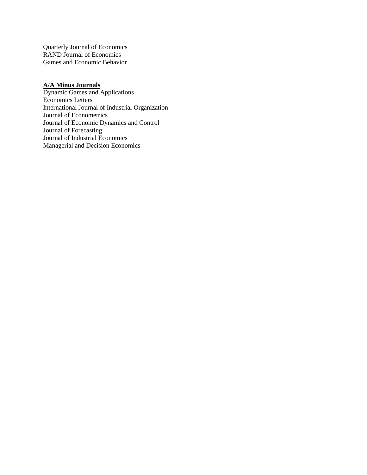Quarterly Journal of Economics RAND Journal of Economics Games and Economic Behavior

#### **A/A Minus Journals**

Dynamic Games and Applications Economics Letters International Journal of Industrial Organization Journal of Econometrics Journal of Economic Dynamics and Control Journal of Forecasting Journal of Industrial Economics Managerial and Decision Economics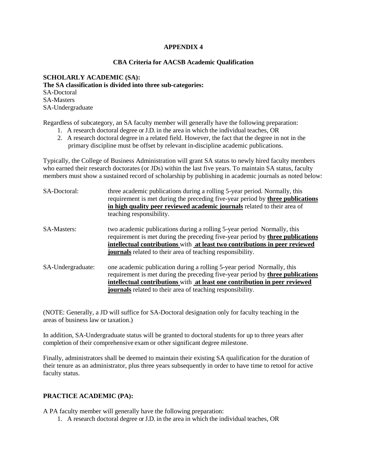#### **APPENDIX 4**

#### **CBA Criteria for AACSB Academic Qualification**

**SCHOLARLY ACADEMIC (SA): The SA classification is divided into three sub-categories:** SA-Doctoral SA-Masters SA-Undergraduate

Regardless of subcategory, an SA faculty member will generally have the following preparation:

- 1. A research doctoral degree or J.D. in the area in which the individual teaches, OR
- 2. A research doctoral degree in a related field. However, the fact that the degree in not in the primary discipline must be offset by relevant in-discipline academic publications.

Typically, the College of Business Administration will grant SA status to newly hired faculty members who earned their research doctorates (or JDs) within the last five years. To maintain SA status, faculty members must show a sustained record of scholarship by publishing in academic journals as noted below:

| SA-Doctoral:       | three academic publications during a rolling 5-year period. Normally, this<br>requirement is met during the preceding five-year period by three publications<br>in high quality peer reviewed academic journals related to their area of<br>teaching responsibility.                                                 |
|--------------------|----------------------------------------------------------------------------------------------------------------------------------------------------------------------------------------------------------------------------------------------------------------------------------------------------------------------|
| <b>SA-Masters:</b> | two academic publications during a rolling 5-year period Normally, this<br>requirement is met during the preceding five-year period by <b>three publications</b><br>intellectual contributions with at least two contributions in peer reviewed<br><b>journals</b> related to their area of teaching responsibility. |
| SA-Undergraduate:  | one academic publication during a rolling 5-year period Normally, this<br>requirement is met during the preceding five-year period by three publications<br>intellectual contributions with at least one contribution in peer reviewed<br><b>journals</b> related to their area of teaching responsibility.          |

(NOTE: Generally, a JD will suffice for SA-Doctoral designation only for faculty teaching in the areas of business law or taxation.)

In addition, SA-Undergraduate status will be granted to doctoral students for up to three years after completion of their comprehensive exam or other significant degree milestone.

Finally, administrators shall be deemed to maintain their existing SA qualification for the duration of their tenure as an administrator, plus three years subsequently in order to have time to retool for active faculty status.

## **PRACTICE ACADEMIC (PA):**

A PA faculty member will generally have the following preparation:

1. A research doctoral degree or J.D. in the area in which the individual teaches, OR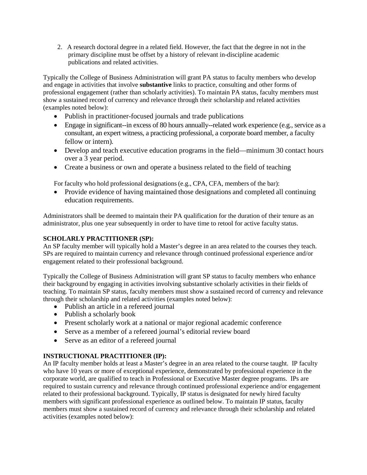2. A research doctoral degree in a related field. However, the fact that the degree in not in the primary discipline must be offset by a history of relevant in-discipline academic publications and related activities.

Typically the College of Business Administration will grant PA status to faculty members who develop and engage in activities that involve **substantive** links to practice, consulting and other forms of professional engagement (rather than scholarly activities). To maintain PA status, faculty members must show a sustained record of currency and relevance through their scholarship and related activities (examples noted below):

- Publish in practitioner-focused journals and trade publications
- Engage in significant--in excess of 80 hours annually--related work experience (e.g., service as a consultant, an expert witness, a practicing professional, a corporate board member, a faculty fellow or intern).
- Develop and teach executive education programs in the field—minimum 30 contact hours over a 3 year period.
- Create a business or own and operate a business related to the field of teaching

For faculty who hold professional designations (e.g., CPA, CFA, members of the bar):

• Provide evidence of having maintained those designations and completed all continuing education requirements.

Administrators shall be deemed to maintain their PA qualification for the duration of their tenure as an administrator, plus one year subsequently in order to have time to retool for active faculty status.

## **SCHOLARLY PRACTITIONER (SP):**

An SP faculty member will typically hold a Master's degree in an area related to the courses they teach. SPs are required to maintain currency and relevance through continued professional experience and/or engagement related to their professional background.

Typically the College of Business Administration will grant SP status to faculty members who enhance their background by engaging in activities involving substantive scholarly activities in their fields of teaching. To maintain SP status, faculty members must show a sustained record of currency and relevance through their scholarship and related activities (examples noted below):

- Publish an article in a refereed journal
- Publish a scholarly book
- Present scholarly work at a national or major regional academic conference
- Serve as a member of a refereed journal's editorial review board
- Serve as an editor of a refereed journal

## **INSTRUCTIONAL PRACTITIONER (IP):**

An IP faculty member holds at least a Master's degree in an area related to the course taught. IP faculty who have 10 years or more of exceptional experience, demonstrated by professional experience in the corporate world, are qualified to teach in Professional or Executive Master degree programs. IPs are required to sustain currency and relevance through continued professional experience and/or engagement related to their professional background. Typically, IP status is designated for newly hired faculty members with significant professional experience as outlined below. To maintain IP status, faculty members must show a sustained record of currency and relevance through their scholarship and related activities (examples noted below):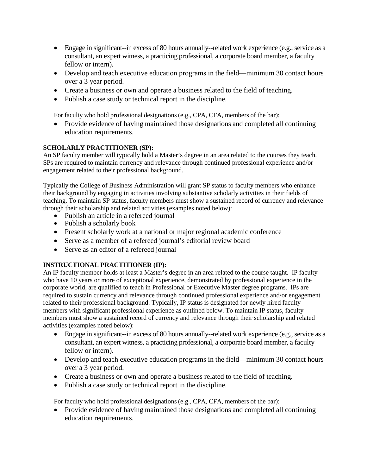- Engage in significant--in excess of 80 hours annually--related work experience (e.g., service as a consultant, an expert witness, a practicing professional, a corporate board member, a faculty fellow or intern).
- Develop and teach executive education programs in the field—minimum 30 contact hours over a 3 year period.
- Create a business or own and operate a business related to the field of teaching.
- Publish a case study or technical report in the discipline.

For faculty who hold professional designations (e.g., CPA, CFA, members of the bar):

• Provide evidence of having maintained those designations and completed all continuing education requirements.

## **SCHOLARLY PRACTITIONER (SP):**

An SP faculty member will typically hold a Master's degree in an area related to the courses they teach. SPs are required to maintain currency and relevance through continued professional experience and/or engagement related to their professional background.

Typically the College of Business Administration will grant SP status to faculty members who enhance their background by engaging in activities involving substantive scholarly activities in their fields of teaching. To maintain SP status, faculty members must show a sustained record of currency and relevance through their scholarship and related activities (examples noted below):

- Publish an article in a refereed journal
- Publish a scholarly book
- Present scholarly work at a national or major regional academic conference
- Serve as a member of a refereed journal's editorial review board
- Serve as an editor of a refereed journal

## **INSTRUCTIONAL PRACTITIONER (IP):**

An IP faculty member holds at least a Master's degree in an area related to the course taught. IP faculty who have 10 years or more of exceptional experience, demonstrated by professional experience in the corporate world, are qualified to teach in Professional or Executive Master degree programs. IPs are required to sustain currency and relevance through continued professional experience and/or engagement related to their professional background. Typically, IP status is designated for newly hired faculty members with significant professional experience as outlined below. To maintain IP status, faculty members must show a sustained record of currency and relevance through their scholarship and related activities (examples noted below):

- Engage in significant--in excess of 80 hours annually--related work experience (e.g., service as a consultant, an expert witness, a practicing professional, a corporate board member, a faculty fellow or intern).
- Develop and teach executive education programs in the field—minimum 30 contact hours over a 3 year period.
- Create a business or own and operate a business related to the field of teaching.
- Publish a case study or technical report in the discipline.

For faculty who hold professional designations(e.g., CPA, CFA, members of the bar):

• Provide evidence of having maintained those designations and completed all continuing education requirements.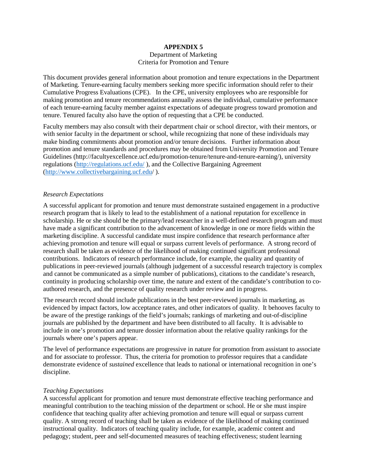#### **APPENDIX 5** Department of Marketing Criteria for Promotion and Tenure

This document provides general information about promotion and tenure expectations in the Department of Marketing. Tenure-earning faculty members seeking more specific information should refer to their Cumulative Progress Evaluations (CPE). In the CPE, university employees who are responsible for making promotion and tenure recommendations annually assess the individual, cumulative performance of each tenure-earning faculty member against expectations of adequate progress toward promotion and tenure. Tenured faculty also have the option of requesting that a CPE be conducted.

Faculty members may also consult with their department chair or school director, with their mentors, or with senior faculty in the department or school, while recognizing that none of these individuals may make binding commitments about promotion and/or tenure decisions. Further information about promotion and tenure standards and procedures may be obtained from University Promotion and Tenure Guidelines (http://facultyexcellence.ucf.edu/promotion-tenure/tenure-and-tenure-earning/), university regulations [\(http://regulations.ucf.edu/](http://regulations.ucf.edu/) ), and the Collective Bargaining Agreement [\(http://www.collectivebargaining.ucf.edu/](http://www.collectivebargaining.ucf.edu/) ).

#### *Research Expectations*

A successful applicant for promotion and tenure must demonstrate sustained engagement in a productive research program that is likely to lead to the establishment of a national reputation for excellence in scholarship. He or she should be the primary/lead researcher in a well-defined research program and must have made a significant contribution to the advancement of knowledge in one or more fields within the marketing discipline. A successful candidate must inspire confidence that research performance after achieving promotion and tenure will equal or surpass current levels of performance. A strong record of research shall be taken as evidence of the likelihood of making continued significant professional contributions. Indicators of research performance include, for example, the quality and quantity of publications in peer-reviewed journals (although judgement of a successful research trajectory is complex and cannot be communicated as a simple number of publications), citations to the candidate's research, continuity in producing scholarship over time, the nature and extent of the candidate's contribution to coauthored research, and the presence of quality research under review and in progress.

The research record should include publications in the best peer-reviewed journals in marketing, as evidenced by impact factors, low acceptance rates, and other indicators of quality. It behooves faculty to be aware of the prestige rankings of the field's journals; rankings of marketing and out-of-discipline journals are published by the department and have been distributed to all faculty. It is advisable to include in one's promotion and tenure dossier information about the relative quality rankings for the journals where one's papers appear.

The level of performance expectations are progressive in nature for promotion from assistant to associate and for associate to professor. Thus, the criteria for promotion to professor requires that a candidate demonstrate evidence of *sustained* excellence that leads to national or international recognition in one's discipline.

#### *Teaching Expectations*

A successful applicant for promotion and tenure must demonstrate effective teaching performance and meaningful contribution to the teaching mission of the department or school. He or she must inspire confidence that teaching quality after achieving promotion and tenure will equal or surpass current quality. A strong record of teaching shall be taken as evidence of the likelihood of making continued instructional quality. Indicators of teaching quality include, for example, academic content and pedagogy; student, peer and self-documented measures of teaching effectiveness; student learning